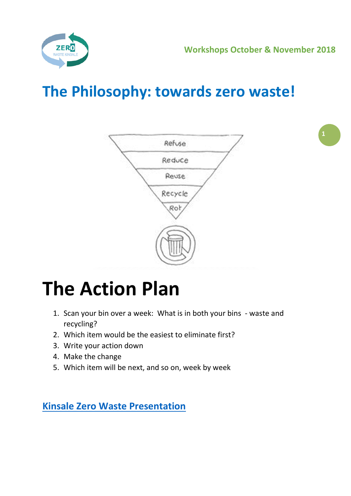

## **The Philosophy: towards zero waste!**



## **The Action Plan**

- 1. Scan your bin over a week: What is in both your bins waste and recycling?
- 2. Which item would be the easiest to eliminate first?
- 3. Write your action down
- 4. Make the change
- 5. Which item will be next, and so on, week by week

**[Kinsale Zero Waste Presentation](http://www.transitiontownkinsale.org/wp-content/uploads/2018/10/Kinsale-Zero-Waste-Presentation-Oct-2018-Website.pdf)**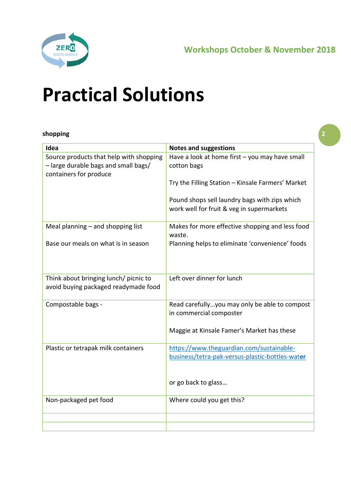

## **Practical Solutions**

#### **shopping**

| Idea                                                                                                      | <b>Notes and suggestions</b>                                                                |
|-----------------------------------------------------------------------------------------------------------|---------------------------------------------------------------------------------------------|
| Source products that help with shopping<br>- large durable bags and small bags/<br>containers for produce | Have a look at home first - you may have small<br>cotton bags                               |
|                                                                                                           | Try the Filling Station - Kinsale Farmers' Market                                           |
|                                                                                                           | Pound shops sell laundry bags with zips which<br>work well for fruit & veg in supermarkets  |
| Meal planning $-$ and shopping list                                                                       | Makes for more effective shopping and less food<br>waste.                                   |
| Base our meals on what is in season                                                                       | Planning helps to eliminate 'convenience' foods                                             |
| Think about bringing lunch/ picnic to<br>avoid buying packaged readymade food                             | Left over dinner for lunch                                                                  |
| Compostable bags -                                                                                        | Read carefullyyou may only be able to compost<br>in commercial composter                    |
|                                                                                                           | Maggie at Kinsale Famer's Market has these                                                  |
| Plastic or tetrapak milk containers                                                                       | https://www.theguardian.com/sustainable-<br>business/tetra-pak-versus-plastic-bottles-water |
|                                                                                                           | or go back to glass                                                                         |
| Non-packaged pet food                                                                                     | Where could you get this?                                                                   |
|                                                                                                           |                                                                                             |

**2**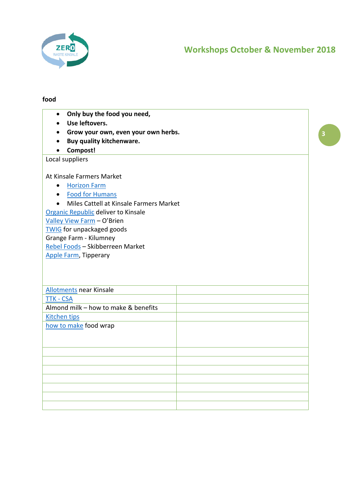

#### **food**

| Only buy the food you need,<br>$\bullet$                 |   |
|----------------------------------------------------------|---|
| Use leftovers.                                           |   |
| Grow your own, even your own herbs.<br>$\bullet$         | 3 |
| Buy quality kitchenware.<br>$\bullet$                    |   |
| Compost!                                                 |   |
| Local suppliers                                          |   |
| At Kinsale Farmers Market                                |   |
| <b>Horizon Farm</b><br>$\bullet$                         |   |
| <b>Food for Humans</b><br>$\bullet$                      |   |
| Miles Cattell at Kinsale Farmers Market<br>$\bullet$     |   |
| Organic Republic deliver to Kinsale                      |   |
| Valley View Farm - O'Brien                               |   |
| <b>TWIG</b> for unpackaged goods                         |   |
| Grange Farm - Kilumney                                   |   |
| Rebel Foods - Skibberreen Market                         |   |
| <b>Apple Farm, Tipperary</b>                             |   |
|                                                          |   |
|                                                          |   |
|                                                          |   |
| <b>Allotments near Kinsale</b>                           |   |
| <b>TTK - CSA</b><br>Almond milk - how to make & benefits |   |
|                                                          |   |
| <b>Kitchen tips</b>                                      |   |
| how to make food wrap                                    |   |
|                                                          |   |
|                                                          |   |
|                                                          |   |
|                                                          |   |
|                                                          |   |
|                                                          |   |
|                                                          |   |
|                                                          |   |
|                                                          |   |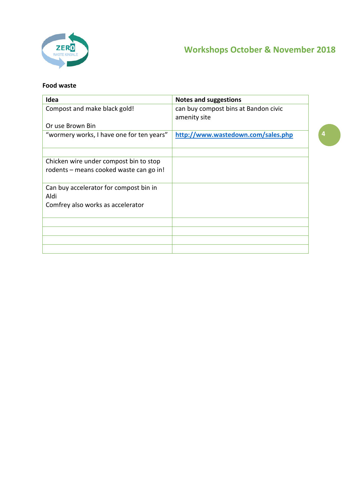

#### **Food waste**

| Idea                                           | <b>Notes and suggestions</b>                         |
|------------------------------------------------|------------------------------------------------------|
| Compost and make black gold!                   | can buy compost bins at Bandon civic<br>amenity site |
| Or use Brown Bin                               |                                                      |
| "wormery works, I have one for ten years"      | http://www.wastedown.com/sales.php                   |
|                                                |                                                      |
| Chicken wire under compost bin to stop         |                                                      |
| rodents – means cooked waste can go in!        |                                                      |
| Can buy accelerator for compost bin in<br>Aldi |                                                      |
| Comfrey also works as accelerator              |                                                      |
|                                                |                                                      |
|                                                |                                                      |
|                                                |                                                      |
|                                                |                                                      |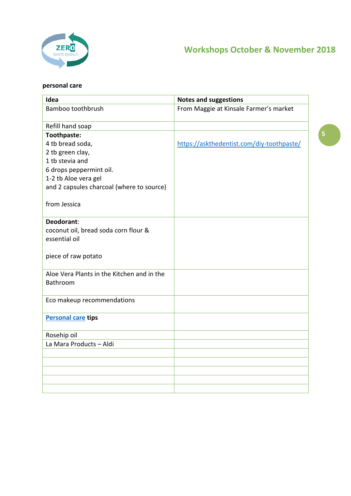

### **personal care**

| Idea                                            | <b>Notes and suggestions</b>              |
|-------------------------------------------------|-------------------------------------------|
| Bamboo toothbrush                               | From Maggie at Kinsale Farmer's market    |
|                                                 |                                           |
| Refill hand soap                                |                                           |
| Toothpaste:                                     |                                           |
| 4 tb bread soda,                                | https://askthedentist.com/diy-toothpaste/ |
| 2 tb green clay,<br>1 tb stevia and             |                                           |
|                                                 |                                           |
| 6 drops peppermint oil.<br>1-2 tb Aloe vera gel |                                           |
| and 2 capsules charcoal (where to source)       |                                           |
|                                                 |                                           |
| from Jessica                                    |                                           |
|                                                 |                                           |
| Deodorant:                                      |                                           |
| coconut oil, bread soda corn flour &            |                                           |
| essential oil                                   |                                           |
|                                                 |                                           |
| piece of raw potato                             |                                           |
|                                                 |                                           |
| Aloe Vera Plants in the Kitchen and in the      |                                           |
| Bathroom                                        |                                           |
|                                                 |                                           |
| Eco makeup recommendations                      |                                           |
| <b>Personal care tips</b>                       |                                           |
|                                                 |                                           |
| Rosehip oil                                     |                                           |
| La Mara Products - Aldi                         |                                           |
|                                                 |                                           |
|                                                 |                                           |
|                                                 |                                           |
|                                                 |                                           |
|                                                 |                                           |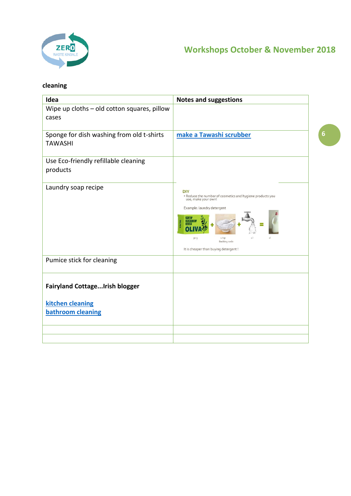

### **cleaning**

| Idea                                                                           | <b>Notes and suggestions</b>                                                                                                                                                                        |
|--------------------------------------------------------------------------------|-----------------------------------------------------------------------------------------------------------------------------------------------------------------------------------------------------|
| Wipe up cloths - old cotton squares, pillow<br>cases                           |                                                                                                                                                                                                     |
| Sponge for dish washing from old t-shirts<br><b>TAWASHI</b>                    | make a Tawashi scrubber                                                                                                                                                                             |
| Use Eco-friendly refillable cleaning<br>products                               |                                                                                                                                                                                                     |
| Laundry soap recipe                                                            | <b>DIY</b><br>• Reduce the number of cosmetics and hygiene products you<br>use, make your own!<br>Example: laundry detergent<br>30 g<br>11<br>Backing soda<br>It is cheaper than buying detergent ! |
| Pumice stick for cleaning                                                      |                                                                                                                                                                                                     |
| <b>Fairyland CottageIrish blogger</b><br>kitchen cleaning<br>bathroom cleaning |                                                                                                                                                                                                     |
|                                                                                |                                                                                                                                                                                                     |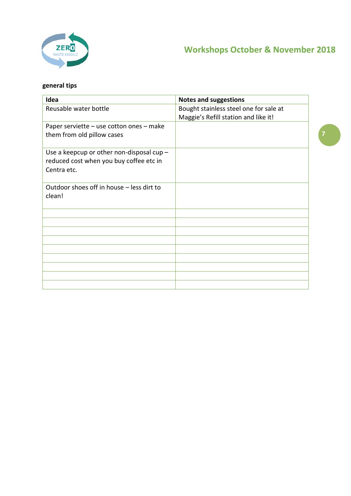

**7**

### **general tips**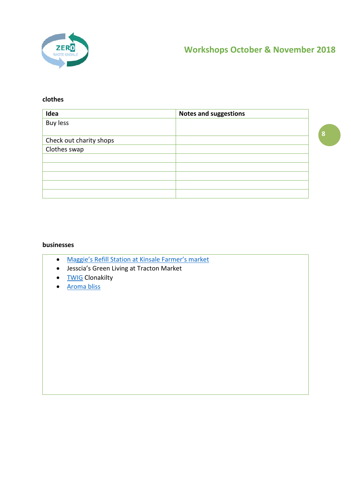

#### **clothes**

| Idea                    | <b>Notes and suggestions</b> |   |
|-------------------------|------------------------------|---|
| <b>Buy less</b>         |                              |   |
|                         |                              | 8 |
| Check out charity shops |                              |   |
| Clothes swap            |                              |   |
|                         |                              |   |
|                         |                              |   |
|                         |                              |   |
|                         |                              |   |
|                         |                              |   |

#### **businesses**

- [Maggie's Refill Station at Kinsale Farmer's market](https://www.facebook.com/pages/category/Local-Business/The-Filling-Station-1666158166976600/)
- Jesscia's Green Living at Tracton Market
- [TWIG](http://theolivebranch.ie/twig-refill/) Clonakilty
- [Aroma bliss](https://www.facebook.com/mollyhartigan1/)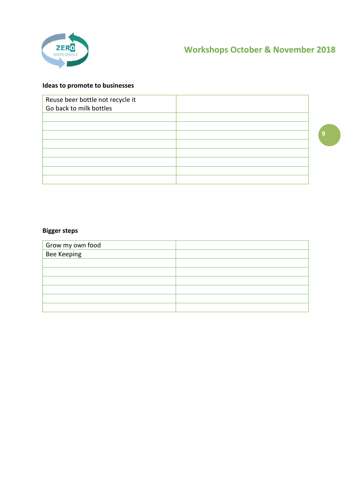

#### **Ideas to promote to businesses**

| Reuse beer bottle not recycle it<br>Go back to milk bottles |   |
|-------------------------------------------------------------|---|
|                                                             |   |
|                                                             |   |
|                                                             | g |
|                                                             |   |
|                                                             |   |
|                                                             |   |
|                                                             |   |
|                                                             |   |

#### **Bigger steps**

| Grow my own food<br>Bee Keeping |  |
|---------------------------------|--|
|                                 |  |
|                                 |  |
|                                 |  |
|                                 |  |
|                                 |  |
|                                 |  |